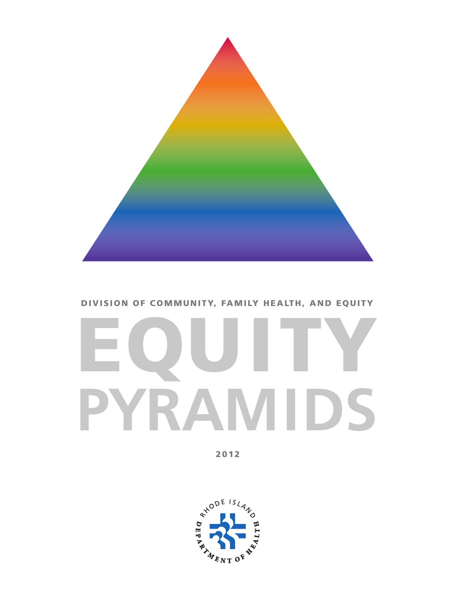

# EQUITY **PYRAMIDS**

2012

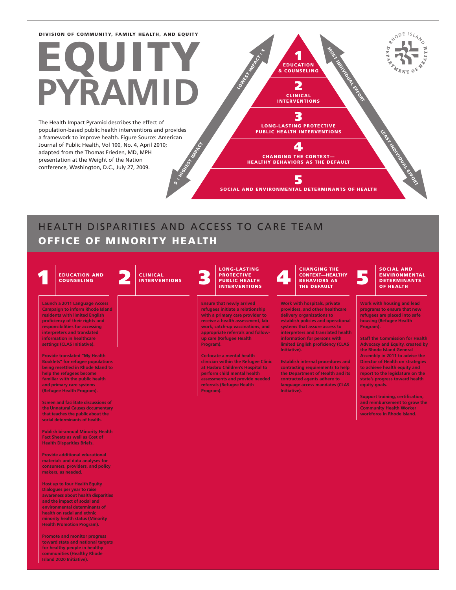# EQUITY **PYRAMID**

**HIGHEST INDIAN** The Health Impact Pyramid describes the effect of population-based public health interventions and provides a framework to improve health. Figure Source: American Journal of Public Health, Vol 100, No. 4, April 2010; adapted from the Thomas Frieden, MD, MPH presentation at the Weight of the Nation conference, Washington, D.C., July 27, 2009.

3 LONG-LASTING PROTECTIVE PUBLIC HEALTH INTERVENTIONS

1 EDUCATION & COUNSELING

LOWEST INVERSITY

2 CLINICAL INTERVENTIONS MOST INDIVIDUAL EFFORT

LEAST INDIVIDUAL EFFORT

RYODE ISLAND

CHANGING THE CONTEXT— HEALTHY BEHAVIORS AS THE DEFAULT

4

5 SOCIAL AND ENVIRONMENTAL DETERMINANTS OF HEALTH

### HEALTH DISPARITIES AND ACCESS TO CARE TEAM OFFICE OF MINORITY HEALTH

 $\ddot{\bm s}$  :

#### EDUCATION AND CLINICAL PROTECTIVE CONTEXTIGNS IN THE DEFAULTH CONTEXT PROTECTIVE CONTEXT PORTECTIVE CONTEXT PORTECTIVE CONTEXT PORTECTIVE CONTEXT PORTECTIVE CONTEXT PUBLICAL CONTEXT PORTECTIVE CONTEXT PORTECTIVE CONTEXT OF **COUNSELING** CLINICAL INTERVENTIONS LONG-LASTING PROTECTIVE<br>PUBLIC HEALTH INTERVENTIONS CHANGING THE CONTEXT—HEALTHY BEHAVIORS AS THE DEFAULT SOCIAL AND ENVIRONMENTAL **DETERMINANTS** OF HEALTH **Launch a 2011 Language Access Campaign to inform Rhode Island residents with limited English proficiency of their rights and responsibilities for accessing interpreters and translated information in healthcare settings (CLAS Initiative). Provide translated "My Health Booklets" for refugee populations being resettled in Rhode Island to help the refugees become familiar with the public health and primary care systems (Refugee Health Program). Screen and facilitate discussions of the Unnatural Causes documentary that teaches the public about the social determinants of health. Publish bi-annual Minority Health Fact Sheets as well as Cost of Health Disparities Briefs. Provide additional educational materials and data analyses for consumers, providers, and policy makers, as needed. Host up to four Health Equity Dialogues per year to raise awareness about health disparities and the impact of social and environmental determinants of health on racial and ethnic minority health status (Minority Health Promotion Program). Promote and monitor progress toward state and national targets for healthy people in healthy communities (Healthy Rhode Island 2020 Initiative). Ensure that newly arrived refugees initiate a relationship with a primary care provider to receive a health assessment, lab work, catch-up vaccinations, and appropriate referrals and followup care (Refugee Health Program). Co-locate a mental health clinician within the Refugee Clinic at Hasbro Children's Hospital to perform child mental health assessments and provide needed referrals (Refugee Health Program). Work with hospitals, private providers, and other healthcare delivery organizations to establish policies and operational systems that assure access to interpreters and translated health information for persons with limited English proficiency (CLAS Initiative). Establish internal procedures and contracting requirements to help the Department of Health and its contracted agents adhere to language access mandates (CLAS Initiative). Work with housing and lead programs to ensure that new refugees are placed into safe housing (Refugee Health Program). Staff the Commission for Health Advocacy and Equity, created by the Rhode Island General Assembly in 2011 to advise the Director of Health on strategies to achieve health equity and report to the legislature on the state's progress toward health equity goals. Support training, certification, and reimbursement to grow the Community Health Worker workforce in Rhode Island.**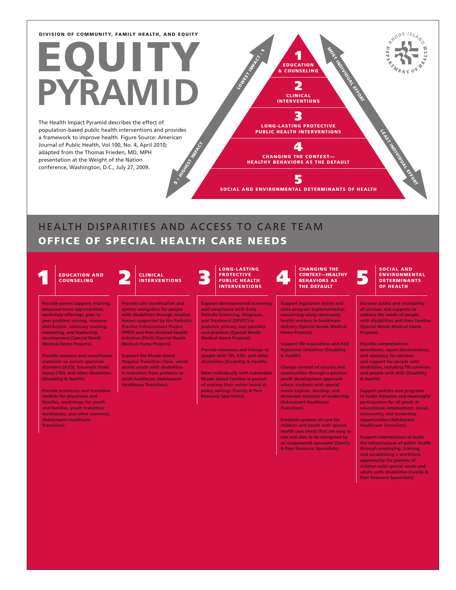# EQUITY **PYRAMID**

**HIGHEST INDIAN** The Health Impact Pyramid describes the effect of population-based public health interventions and provides a framework to improve health. Figure Source: American Journal of Public Health, Vol 100, No. 4, April 2010; adapted from the Thomas Frieden, MD, MPH presentation at the Weight of the Nation conference, Washington, D.C., July 27, 2009.

3 LONG-LASTING PROTECTIVE PUBLIC HEALTH INTERVENTIONS

1 EDUCATION & COUNSELING

LOWEST INFARCT:

2 CLINICAL INTERVENTIONS MOST INDIVIDUAL EFFORT

CHANGING THE CONTEXT— HEALTHY BEHAVIORS AS THE DEFAULT

4

5 SOCIAL AND ENVIRONMENTAL DETERMINANTS OF HEALTH

### HEALTH DISPARITIES AND ACCESS TO CARE TEAM OFFICE OF SPECIAL HEALTH CARE NEEDS

 $\ddot{\bm s}$ 

# **COUNSELING**

**Provide parent support, training, empowerment opportunities, workshop offerings, peer to peer problem solving, resource distribution, advocacy training, mentoring, and leadership development (Special Needs Medical Home Projects).**

**Provide resource and surveillance materials on autism spectrum disorders (ASD), traumatic brain injury (TBI), and other disabilities (Disability & Health).**

**Provide brochures and transition toolkits for physicians and families, workshops for youth and families, youth transition workbooks, and other resources (Adolescent Healthcare Transition).**

### CLINICAL INTERVENTIONS

**Provide care coordination and system navigation for people with disabilities through medical homes supported by the Pediatric Practice Enhancement Project (PPEP) and Peer-Assisted Health Initiative (PAHI) (Special Needs Medical Home Projects).**

**Support the Rhode Island Hospital Transition Clinic, which assists youth with disabilities in transition from pediatric to adult healthcare (Adolescent Healthcare Transition).**

#### LONG-LASTING PROTECTIVE<br>PUBLIC HEALTH INTERVENTIONS

**Support developmental screening and compliance with Early Periodic Screening, Diagnosis, and Treatment (EPSDT) in pediatric primary and specialty care practices (Special Needs Medical Home Projects).**

**Provide resources and linkage to people with TBI, ASD, and other disabilities (Disability & Health).**

**Meet individually with vulnerable Rhode Island families in pursuit of making their voices heard at policy settings (Family & Peer Resource Specialists).**

#### EDUCATION AND CLINICAL PROTECTIVE CONTEXT—HEALTH CONTEXT CONTEXT CONTEXT CONTEXT CONTEXT CONTEXT CONTEXT CONTEXT CONTEXT CONTEXT CONTEXT CONTEXT CONTEXT CONTEXT CONTEXT CONTEXT CONTEXT CONTEXT CONTEXT CONTEXT CONTEXT CONTE CHANGING THE CONTEXT—HEALTHY BEHAVIORS AS THE DEFAULT

**Support legislative action and state program implementation concerning using community health workers in healthcare delivery (Special Needs Medical Home Projects).**

**Support TBI regulations and ASD legislative initiatives (Disability & Health).**

**Change context of schools and communities through a positive youth development approach where students with special needs explore, develop, and showcase concepts of leadership (Adolescent Healthcare Transition).**

**Establish systems of care for children and youth with special health care needs that are easy to use and able to be navigated by an empowered consumer (Family & Peer Resource Specialists).**

#### SOCIAL AND ENVIRONMENTAL **DETERMINANTS** OF HEALTH

LEAST INDIVIDUAL EFFORT

R<sup>XODE ISLAND</sup>

**Increase access and availability of services and supports to address the needs of people with disabilities and their families (Special Needs Medical Home Projects).**

**Provide comprehensive surveillance, report dissemination, and advocacy for services and support for people with disabilities, including TBI survivors and people with ASD (Disability & Health).**

**Support policies and programs to foster inclusion and meaningful participation for all youth in educational, employment, social, community, and leadership opportunities (Adolescent Healthcare Transition).**

**Support interventions to build the infrastructure of public health through employing, training, and establishing a workforce opportunity for parents of children with special needs and adults with disabilities (Family & Peer Resource Specialists).**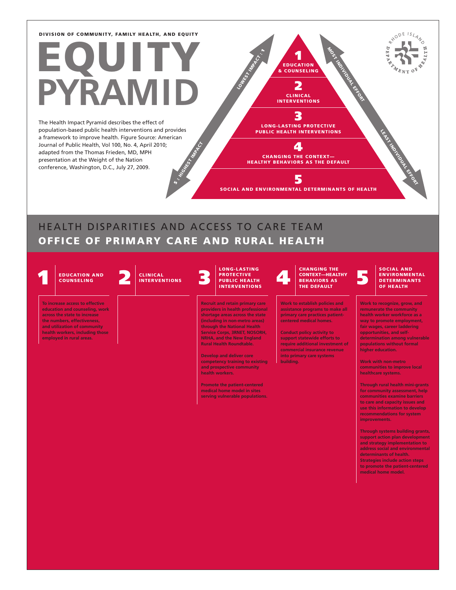# EQUITY **RAM**

**HIGHEST INDIAN** The Health Impact Pyramid describes the effect of population-based public health interventions and provides a framework to improve health. Figure Source: American Journal of Public Health, Vol 100, No. 4, April 2010; adapted from the Thomas Frieden, MD, MPH presentation at the Weight of the Nation conference, Washington, D.C., July 27, 2009.

3 LONG-LASTING PROTECTIVE PUBLIC HEALTH INTERVENTIONS

4 CHANGING THE CONTEXT— HEALTHY BEHAVIORS AS THE DEFAULT

1 EDUCATION & COUNSELING 2 CLINICAL INTERVENTIONS MOST INDIVIDUAL EFFORT

LOWEST INFARCT:

5

SOCIAL AND ENVIRONMENTAL DETERMINANTS OF HEALTH

### HEALTH DISPARITIES AND ACCESS TO CARE TEAM OFFICE OF PRIMARY CARE AND RURAL HEALTH

 $\ddot{ }$ 

**COUNSELING** 

**To increase access to effective education and counseling, work across the state to increase the numbers, effectiveness, and utilization of community health workers, including those employed in rural areas.** 





#### LONG-LASTING PROTECTIVE<br>PUBLIC HEALTH INTERVENTIONS

**Recruit and retain primary care providers in health professional shortage areas across the state (including in non-metro areas) through the National Health Service Corps, 3RNET, NOSORH, NRHA, and the New England Rural Health Roundtable.**

**Develop and deliver core competency training to existing and prospective community health workers.**

**Promote the patient-centered medical home model in sites serving vulnerable populations.**

#### EDUCATION AND CLINICAL PROTECTIVE CONTEXT—HEALTH CONTEXT CONTEXT CONTEXT AND CONTEXT CONTEXT CONTEXT CONTEXT CONTEXT CONTEXT CONTEXT CONTEXT CONTEXT CONTEXT CONTEXT CONTEXT CONTEXT CONTEXT CONTEXT CONTEXT CONTEXT CONTEXT C CHANGING THE CONTEXT—HEALTHY BEHAVIORS AS THE DEFAULT

**Work to establish policies and assistance programs to make all primary care practices patientcentered medical homes.** 

**Conduct policy activity to support statewide efforts to require additional investment of commercial insurance revenue into primary care systems building.** 

#### SOCIAL AND ENVIRONMENTAL DETERMINANTS OF HEALTH

LEAST INDIVIDUAL EFFORT

R<sup>XODE ISLAND</sup>

**Work to recognize, grow, and remunerate the community health worker workforce as a way to promote employment, fair wages, career laddering opportunities, and selfdetermination among vulnerable populations without formal higher education.**

**Work with non-metro communities to improve local healthcare systems.**

**Through rural health mini-grants for community assessment, help communities examine barriers to care and capacity issues and use this information to develop recommendations for system improvements.** 

**Through systems building grants, support action plan development and strategy implementation to address social and environmental determinants of health. Strategies include action steps to promote the patient-centered medical home model.**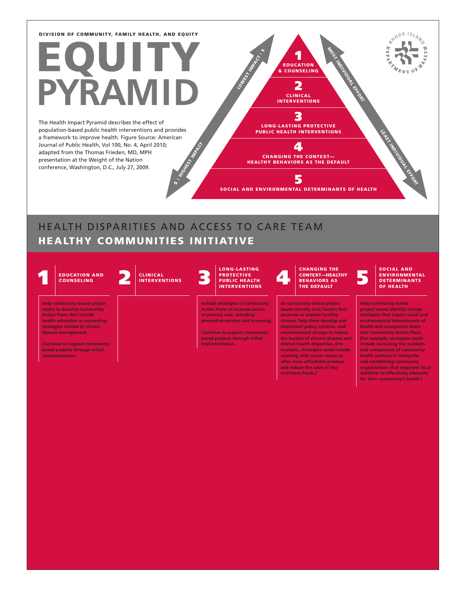# EQUITY **PYRAMID**

**HIGHEST INDIAN** The Health Impact Pyramid describes the effect of population-based public health interventions and provides a framework to improve health. Figure Source: American Journal of Public Health, Vol 100, No. 4, April 2010; adapted from the Thomas Frieden, MD, MPH presentation at the Weight of the Nation conference, Washington, D.C., July 27, 2009.

3 LONG-LASTING PROTECTIVE PUBLIC HEALTH INTERVENTIONS

1 EDUCATION & COUNSELING

LOWEST INVARIANCE

2 CLINICAL INTERVENTIONS MOST INDIVIDUAL EFFORT

LEAST INDIVIDUAL EFFORT

R<sup>XODE ISLAND</sup>

 $\sigma$ 

CHANGING THE CONTEXT— HEALTHY BEHAVIORS AS THE DEFAULT 5

4

SOCIAL AND ENVIRONMENTAL DETERMINANTS OF HEALTH

### HEALTH DISPARITIES AND ACCESS TO CARE TEAM HEALTHY COMMUNITIES INITIATIVE

 $\ddot{\bm s}$  :

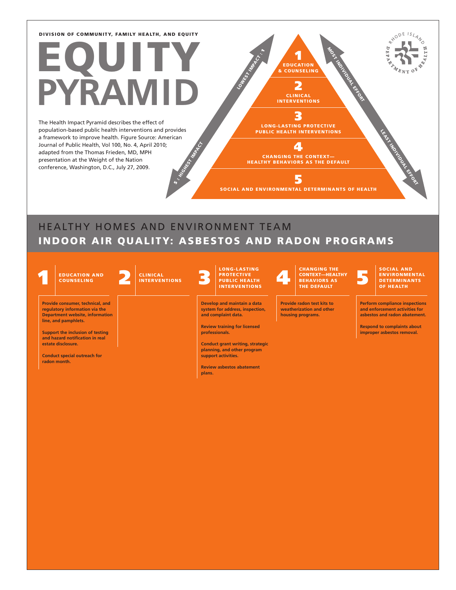# EQUITY **PYRAMID**

**HIGHEST INDIAN** The Health Impact Pyramid describes the effect of population-based public health interventions and provides a framework to improve health. Figure Source: American Journal of Public Health, Vol 100, No. 4, April 2010; adapted from the Thomas Frieden, MD, MPH presentation at the Weight of the Nation conference, Washington, D.C., July 27, 2009.

R<sup>XODE ISLAND</sup>  $\epsilon$ MOST INDIVIDUAL EFFORT LOWEST INFARCT: 1 EDUCATION & COUNSELING 2 CLINICAL INTERVENTIONS 3 LEAST INDIVIDUAL EFFORT LONG-LASTING PROTECTIVE PUBLIC HEALTH INTERVENTIONS 4 CHANGING THE CONTEXT— HEALTHY BEHAVIORS AS THE DEFAULT 5

SOCIAL AND ENVIRONMENTAL DETERMINANTS OF HEALTH

### HEALTHY HOMES AND ENVIRONMENT TEAM INDOOR AIR QUALITY: ASBESTOS AND RADON PROGRAMS

 $\ddot{\bm s}$ 

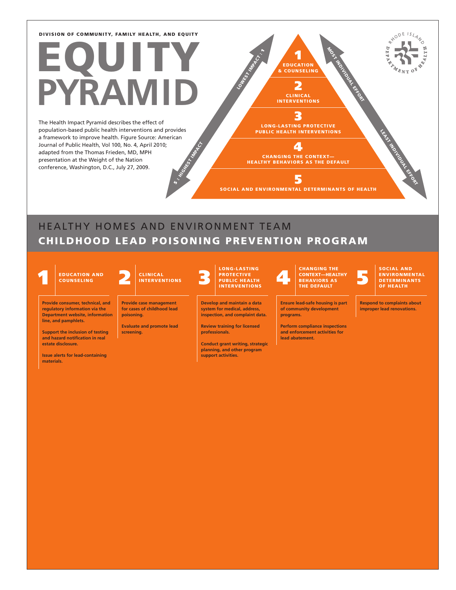# EQUITY **PYRAMID**

HIGHEST INDIA The Health Impact Pyramid describes the effect of population-based public health interventions and provides a framework to improve health. Figure Source: American Journal of Public Health, Vol 100, No. 4, April 2010; adapted from the Thomas Frieden, MD, MPH presentation at the Weight of the Nation conference, Washington, D.C., July 27, 2009.

3 LONG-LASTING PROTECTIVE PUBLIC HEALTH INTERVENTIONS

4

1 EDUCATION & COUNSELING

LOWEST INFARCT.

2 CLINICAL INTERVENTIONS

CHANGING THE CONTEXT— HEALTHY BEHAVIORS AS THE DEFAULT 5

SOCIAL AND ENVIRONMENTAL DETERMINANTS OF HEALTH

### HEALTHY HOMES AND ENVIRONMENT TEAM CHILDHOOD LEAD POISONING PREVENTION PROGRAM

 $\ddot{\bm s}$ 

COUNSELING

**line, and pamphlets.**

**materials.**

**Support the inclusion of testing and hazard notification in real estate disclosure.** 

**Issue alerts for lead-containing** 

CLINICAL INTERVENTIONS

**Provide consumer, technical, and regulatory information via the Department website, information Provide case management for cases of childhood lead poisoning.**

> **Evaluate and promote lead screening.**

LONG-LASTING

**Develop and maintain a data system for medical, address, inspection, and complaint data.**

**Review training for licensed professionals.** 

**Conduct grant writing, strategic planning, and other program support activities.** 

#### 1 2 3 4 5 EDUCATION AND PROTECTIVE PUBLIC HEALTH INTERVENTIONS CHANGING THE CONTEXT—HEALTHY BEHAVIORS AS THE DEFAULT

**Ensure lead-safe housing is part of community development programs.**

**Perform compliance inspections and enforcement activities for lead abatement.**

SOCIAL AND ENVIRONMENTAL<br>DETERMINANTS OF HEALTH

LEAST INDIVIDUAL EFFORT

RHODE ISLAND

i.

**Respond to complaints about improper lead renovations.** 

MOST INDIVIDUAL EFFORT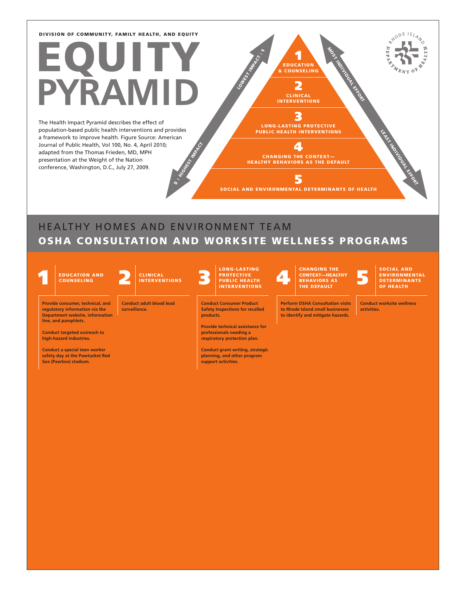# EQUITY **PYRAMID**

**HIGHEST INDIAN** The Health Impact Pyramid describes the effect of population-based public health interventions and provides a framework to improve health. Figure Source: American Journal of Public Health, Vol 100, No. 4, April 2010; adapted from the Thomas Frieden, MD, MPH presentation at the Weight of the Nation conference, Washington, D.C., July 27, 2009.

R<sup>XODE ISLAND</sup> MOST INDIVIDUAL EFFORT LOWEST INVARIANCE 1 EDUCATION & COUNSELING 2 CLINICAL INTERVENTIONS 3 LEAST INDIVIDUAL EFFORT LONG-LASTING PROTECTIVE PUBLIC HEALTH INTERVENTIONS 4 CHANGING THE CONTEXT— HEALTHY BEHAVIORS AS THE DEFAULT 5 SOCIAL AND ENVIRONMENTAL DETERMINANTS OF HEALTH

### HEALTHY HOMES AND ENVIRONMENT TEAM OSHA CONSULTATION AND WORKSITE WELLNESS PROGRAMS



**line, and pamphlets.**

**Provide consumer, technical, and regulatory information via the Department website, information** 

**Conduct targeted outreach to high-hazard industries. Conduct a special teen worker safety day at the Pawtucket Red Sox (PawSox) stadium.**



**Conduct adult blood lead surveillance.**

 $\ddot{\bm s}$  :

#### LONG-LASTING PROTECTIVE<br>PUBLIC HEALTH INTERVENTIONS

**Conduct Consumer Product Safety Inspections for recalled products.** 

**Provide technical assistance for professionals needing a respiratory protection plan.**

**Conduct grant writing, strategic planning, and other program support activities.** 

#### EDUCATION AND CLINICAL PROTECTIVE CONTEXTLEMENT CONTEXTLES AS CONTEXTLEMENT CONTEXTLEMENT CONTEXTLEMENT ON A SECTED OF THE DEFAULTH CHANGING THE THE DEFAULT

**Perform OSHA Consultation visits to Rhode Island small businesses to identify and mitigate hazards.** 

SOCIAL AND ENVIRONMENTAL<br>DETERMINANTS OF HEALTH

**Conduct worksite wellness activities.**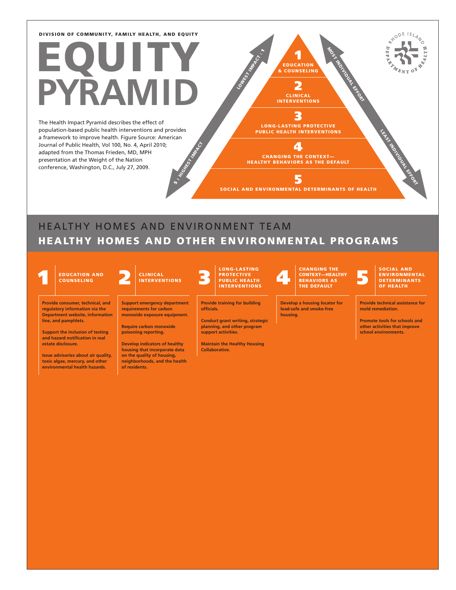# EQUITY **PYRAMID**

HIGHEST INDIA The Health Impact Pyramid describes the effect of population-based public health interventions and provides a framework to improve health. Figure Source: American Journal of Public Health, Vol 100, No. 4, April 2010; adapted from the Thomas Frieden, MD, MPH presentation at the Weight of the Nation conference, Washington, D.C., July 27, 2009.

EDUCATION & COUNSELING 2 CLINICAL INTERVENTIONS 3 LONG-LASTING PROTECTIVE PUBLIC HEALTH INTERVENTIONS 4 CHANGING THE CONTEXT— HEALTHY BEHAVIORS AS THE DEFAULT LOWEST INFARCT. MOST INDIVIDUAL EFFORT LEAST INDIVIDUAL EFFORT

1

SOCIAL AND ENVIRONMENTAL DETERMINANTS OF HEALTH

5

### HEALTHY HOMES AND ENVIRONMENT TEAM HEALTHY HOMES AND OTHER ENVIRONMENTAL PROGRAMS

COUNSELING



**Provide consumer, technical, and regulatory information via the Department website, information line, and pamphlets.**

**Support the inclusion of testing and hazard notification in real estate disclosure.** 

**Issue advisories about air quality, toxic algae, mercury, and other environmental health hazards.**

**Support emergency department requirements for carbon monoxide exposure equipment.**

 $\ddot{\bm s}$ 

**Require carbon monoxide poisoning reporting.**

**Develop indicators of healthy housing that incorporate data on the quality of housing, neighborhoods, and the health of residents.** 

LONG-LASTING

**Provide training for building officials.** 

**Conduct grant writing, strategic planning, and other program support activities.** 

**Maintain the Healthy Housing Collaborative.**

#### 1 2 3 4 5 EDUCATION AND PROTECTIVE PUBLIC HEALTH INTERVENTIONS CHANGING THE CONTEXT—HEALTHY BEHAVIORS AS THE DEFAULT

**Develop a housing locator for lead-safe and smoke-free housing.**

#### SOCIAL AND ENVIRONMENTAL<br>DETERMINANTS OF HEALTH

RYODE ISLAND

**Provide technical assistance for mold remediation.**

**Promote tools for schools and other activities that improve school environments.**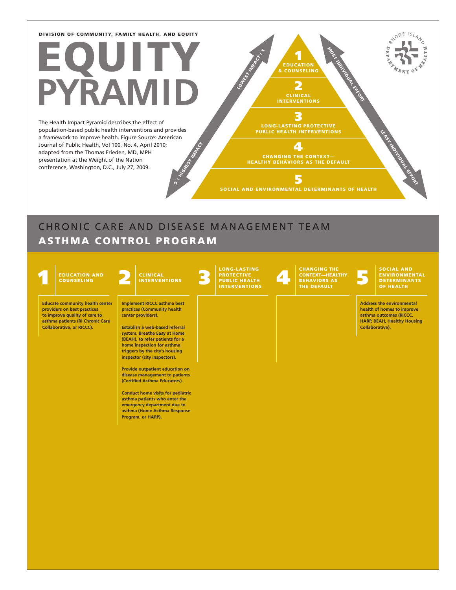# EQUITY **RAM**

**HIGHEST INDIAN** The Health Impact Pyramid describes the effect of population-based public health interventions and provides a framework to improve health. Figure Source: American Journal of Public Health, Vol 100, No. 4, April 2010; adapted from the Thomas Frieden, MD, MPH presentation at the Weight of the Nation conference, Washington, D.C., July 27, 2009.

CLINICAL INTERVENTIONS 3 LONG-LASTING PROTECTIVE 4 MOST INDIVIDUAL EFFORT

CHANGING THE CONTEXT— HEALTHY BEHAVIORS AS THE DEFAULT

5

**1**<br>EDUCATION & COUNSELING

LOWEST INDIA CT.

2

SOCIAL AND ENVIRONMENTAL DETERMINANTS OF HEALTH

## CHRONIC CARE AND DISEASE MANAGEMENT TEAM ASTHMA CONTROL PROGRAM

 $\ddot{\bm s}$  :



**Educate community health center providers on best practices to improve quality of care to asthma patients (RI Chronic Care Collaborative, or RICCC).**

#### CLINICAL INTERVENTIONS

**Implement RICCC asthma best practices (Community health center providers).**

**Establish a web-based referral system, Breathe Easy at Home (BEAH), to refer patients for a home inspection for asthma triggers by the city's housing inspector (city inspectors).**

**Provide outpatient education on disease management to patients (Certified Asthma Educators).**

**Conduct home visits for pediatric asthma patients who enter the emergency department due to asthma (Home Asthma Response Program, or HARP).**

# PROTECTIVE<br>PUBLIC HEALTH<br>INTERVENTIONS

EDUCATION AND CLINICAL BEHAVIORS AS CONTEXT MANGING THE CONTEXT MANGING THE CONTEXT MANGING THE CONTEXT MANGING THE CONTEXT MANGING THE CONTEXT MANGING THE CONTEXT MANGING THE CONTEXT MANGING THE CONTEXT MANGING THE DEFAUL

ENVIRONMENTAL<br>DETERMINANTS<br>OF HEALTH

LEAST INDIVIDUAL EFFORT

R<sup>XODE ISLAND</sup>

 $\epsilon$ 

**Address the environmental health of homes to improve asthma outcomes (RICCC, HARP, BEAH, Healthy Housing Collaborative).**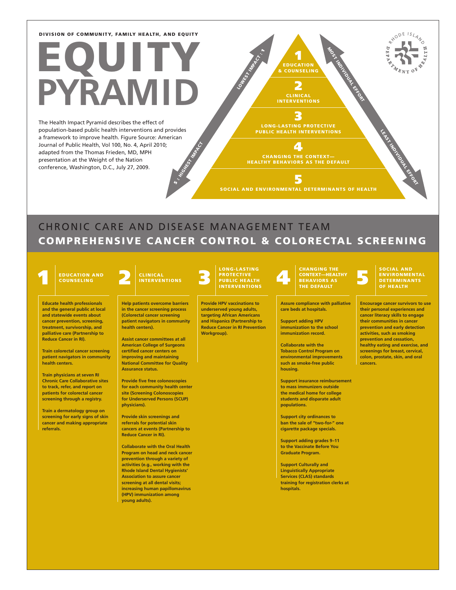# EQUITY **RAM**

**HIGHEST INDIAN** The Health Impact Pyramid describes the effect of population-based public health interventions and provides a framework to improve health. Figure Source: American Journal of Public Health, Vol 100, No. 4, April 2010; adapted from the Thomas Frieden, MD, MPH presentation at the Weight of the Nation conference, Washington, D.C., July 27, 2009.

3 LONG-LASTING PROTECTIVE

4 CHANGING THE CONTEXT— HEALTHY BEHAVIORS AS THE DEFAULT

1 EDUCATION & COUNSELING

LOWEST INFOST

2 CLINICAL INTERVENTIONS MOST INDIVIDUAL EFFORT

5

SOCIAL AND ENVIRONMENTAL DETERMINANTS OF HEALTH

### CHRONIC CARE AND DISEASE MANAGEMENT TEAM COMPREHENSIVE CANCER CONTROL & COLORECTAL SCREENING

COUNSELING

**Educate health professionals** 

**and the general public at local and statewide events about cancer prevention, screening, treatment, survivorship, and palliative care (Partnership to Reduce Cancer in RI).**

**Train colorectal cancer screening patient navigators in community health centers.**

**Train physicians at seven RI Chronic Care Collaborative sites to track, refer, and report on patients for colorectal cancer screening through a registry.**

**Train a dermatology group on screening for early signs of skin cancer and making appropriate referrals.**

#### CLINICAL INTERVENTIONS

 $\ddot{\bm s}$ 

**Help patients overcome barriers in the cancer screening process (Colorectal cancer screening patient navigators in community health centers).**

**Assist cancer committees at all American College of Surgeons certified cancer centers on improving and maintaining National Committee for Quality Assurance status.**

**Provide five free colonoscopies for each community health center site (Screening Colonoscopies for Underserved Persons (SCUP) physicians).**

**Provide skin screenings and referrals for potential skin cancers at events (Partnership to Reduce Cancer in RI).**

**Collaborate with the Oral Health Program on head and neck cancer prevention through a variety of activities (e.g., working with the Rhode Island Dental Hygienists' Association to assure cancer screening at all dental visits; increasing human papillomavirus (HPV) immunization among young adults).**

# EDUCATION AND CLINICAL PROTECTIVE CHANGING THE CONTEXT PROTECTIVE CONTEXT PONDER AS

**Provide HPV vaccinations to underserved young adults, targeting African Americans and Hispanics (Partnership to Reduce Cancer in RI Prevention Workgroup).**

CONTEXT—HEALTHY BEHAVIORS AS THE DEFAULT

**Assure compliance with palliative care beds at hospitals.**

**Support adding HPV immunization to the school immunization record.**

**Collaborate with the Tobacco Control Program on environmental improvements such as smoke-free public housing.**

**Support insurance reimbursement to mass immunizers outside the medical home for college students and disparate adult populations.**

**Support city ordinances to ban the sale of "two-for-" one cigarette package specials.**

**Support adding grades 9–11 to the Vaccinate Before You Graduate Program.**

**Support Culturally and Linguistically Appropriate Services (CLAS) standards training for registration clerks at hospitals.**

### ENVIRONMENTAL<br>DETERMINANTS OF HEALTH

**Encourage cancer survivors to use their personal experiences and cancer literacy skills to engage their communities in cancer prevention and early detection activities, such as smoking prevention and cessation, healthy eating and exercise, and screenings for breast, cervical, colon, prostate, skin, and oral cancers.**

R<sup>XODE ISLAND</sup>

LEAST INDIVIDUAL EFFORT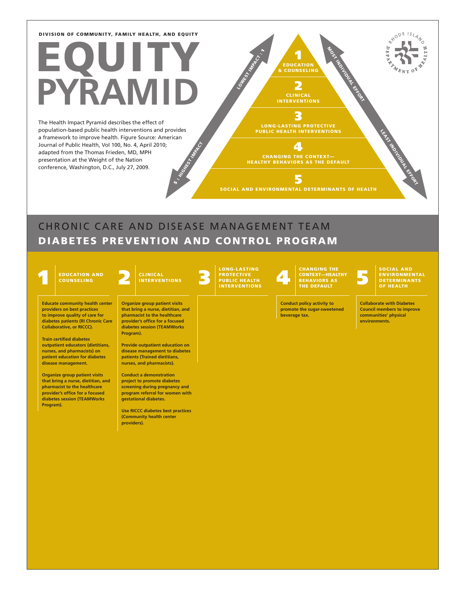# EQUITY **RAM**

HIGHEST INDIA The Health Impact Pyramid describes the effect of population-based public health interventions and provides a framework to improve health. Figure Source: American Journal of Public Health, Vol 100, No. 4, April 2010; adapted from the Thomas Frieden, MD, MPH presentation at the Weight of the Nation conference, Washington, D.C., July 27, 2009.

3 LONG-LASTING PROTECTIVE

 $\blacktriangle$ 

1

LOWEST INFARCT :

2 CLINICAL INTERVENTIONS MOST INDIVIDUAL EFFORT

CHANGING THE CONTEXT— HEALTHY BEHAVIORS AS THE DEFAULT

5

SOCIAL AND ENVIRONMENTAL DETERMINANTS OF HEALTH LEAST INDIVIDUAL EFFORT

### CHRONIC CARE AND DISEASE MANAGEMENT TEAM DIABETES PREVENTION AND CONTROL PROGRAM

 $\ddot{\bm s}$ 

COUNSELING

**Educate community health center providers on best practices to improve quality of care for diabetes patients (RI Chronic Care Collaborative, or RICCC).**

**Train certified diabetes outpatient educators (dietitians, nurses, and pharmacists) on patient education for diabetes disease management.**

**Organize group patient visits that bring a nurse, dietitian, and pharmacist to the healthcare provider's office for a focused diabetes session (TEAMWorks Program).**

**Organize group patient visits that bring a nurse, dietitian, and pharmacist to the healthcare provider's office for a focused diabetes session (TEAMWorks Program).**

**Provide outpatient education on disease management to diabetes patients (Trained dietitians, nurses, and pharmacists).**

**Conduct a demonstration project to promote diabetes screening during pregnancy and program referral for women with gestational diabetes.**

**Use RICCC diabetes best practices (Community health center providers).**

# PROTECTIVE<br>PUBLIC HEALTH<br>INTERVENTIONS

EDUCATION AND CLINICAL BEHAVIORS AS CONTEXT MANGING THE CONTEXT MANGING THE CONTEXT MANGING THE CONTEXT MANGING THE CONTEXT MANGING THE CONTEXT MANGING THE CONTEXT MANGING THE CONTEXT MANGING THE CONTEXT MANGING THE DEFAUL

**Conduct policy activity to promote the sugar-sweetened beverage tax.**

ENVIRONMENTAL<br>DETERMINANTS<br>OF HEALTH

RYODE ISLAND

**Collaborate with Diabetes Council members to improve communities' physical environments.**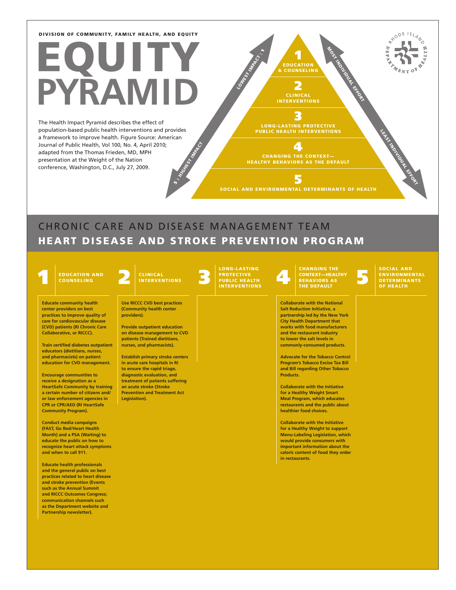# EQUITY **RAM**

**HIGHEST INDIAN** The Health Impact Pyramid describes the effect of population-based public health interventions and provides a framework to improve health. Figure Source: American Journal of Public Health, Vol 100, No. 4, April 2010; adapted from the Thomas Frieden, MD, MPH presentation at the Weight of the Nation conference, Washington, D.C., July 27, 2009.

3 LONG-LASTING PROTECTIVE

1 EDUCATION & COUNSELING

2 CLINICAL INTERVENTIONS MOST INDIVIDUAL EFFORT

 $\blacktriangle$ CHANGING THE CONTEXT— HEALTHY BEHAVIORS AS THE DEFAULT

5

SOCIAL AND ENVIRONMENTAL DETERMINANTS OF HEALTH

### CHRONIC CARE AND DISEASE MANAGEMENT TEAM HEART DISEASE AND STROKE PREVENTION PROGRAM

 $\ddot{\bm s}$  :

COUNSELING

**Educate community health center providers on best practices to improve quality of care for cardiovascular disease (CVD) patients (RI Chronic Care Collaborative, or RICCC).**

**Train certified diabetes outpatient educators (dietitians, nurses, and pharmacists) on patient education for CVD management.**

**Encourage communities to receive a designation as a HeartSafe Community by training a certain number of citizens and/ or law enforcement agencies in CPR or CPR/AED (RI HeartSafe Community Program).**

**Conduct media campaigns (FAST, Go Red/Heart Health Month) and a PSA (Waiting) to educate the public on how to recognize heart attack symptoms and when to call 911.**

**Educate health professionals and the general public on best practices related to heart disease and stroke prevention (Events such as the Annual Summit and RICCC Outcomes Congress; communication channels such as the Department website and Partnership newsletter).**

#### CLINICAL INTERVENTIONS

**Use RICCC CVD best practices (Community health center providers).** 

**Provide outpatient education on disease management to CVD patients (Trained dietitians, nurses, and pharmacists).**

**Establish primary stroke centers in acute care hospitals in RI to ensure the rapid triage, diagnostic evaluation, and treatment of patients suffering an acute stroke (Stroke Prevention and Treatment Act Legislation).**

# LONG-LASTING

LOWEST INFARCT :

EDUCATION AND CLINICAL BERAVIORS ASSESSED FOR CHANGING THE CONTEXT PROTECTIVE CONTEXT PROTECTIVE CONTEXT PROTECTIVE CONTEXT PROTECTIVE CONTEXT PROTECTIVE CONTEXT PROTECTIVE CONTEXT PROTECTIVE CONTEXT PROTECTIVE CONTEXT PRO CONTEXT—HEALTHY BEHAVIORS AS THE DEFAULT

> **Collaborate with the National Salt Reduction Initiative, a partnership led by the New York City Health Department that works with food manufacturers and the restaurant industry to lower the salt levels in commonly-consumed products.**

**Advocate for the Tobacco Control Program's Tobacco Excise Tax Bill and Bill regarding Other Tobacco Products.**

**Collaborate with the Initiative for a Healthy Weight Smart Meal Program, which educates restaurants and the public about healthier food choices.**

**Collaborate with the Initiative for a Healthy Weight to support Menu-Labeling Legislation, which would provide consumers with important information about the caloric content of food they order in restaurants.**

ENVIRONMENTAL<br>DETERMINANTS<br>OF HEALTH

LEAST INDIVIDUAL EFFORT

RYODE ISLAND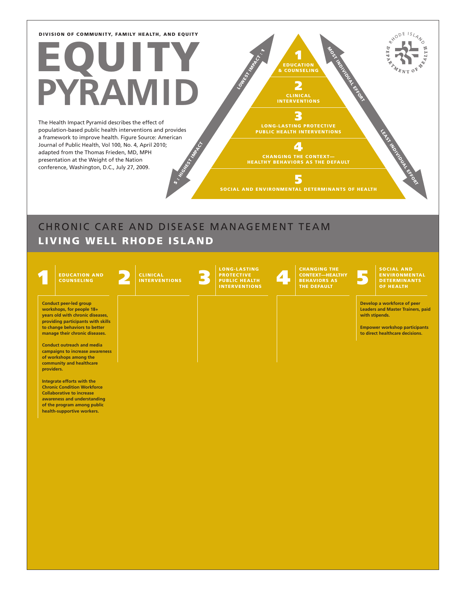# EQUITY **RAM**

**HIGHEST INDIAN** The Health Impact Pyramid describes the effect of population-based public health interventions and provides a framework to improve health. Figure Source: American Journal of Public Health, Vol 100, No. 4, April 2010; adapted from the Thomas Frieden, MD, MPH presentation at the Weight of the Nation conference, Washington, D.C., July 27, 2009.

**1** & COUNSELING 2 CLINICAL INTERVENTIONS 3 LONG-LASTING PROTECTIVE 4 CHANGING THE CONTEXT— HEALTHY BEHAVIORS AS THE DEFAULT LOWEST INFARCT : MOST INDIVIDUAL EFFORT LEAST INDIVIDUAL EFFORT

RYODE ISLAND

 $\sigma$ 

5 SOCIAL AND ENVIRONMENTAL DETERMINANTS OF HEALTH

## CHRONIC CARE AND DISEASE MANAGEMENT TEAM LIVING WELL RHODE ISLAND

 $\ddot{ }$ 

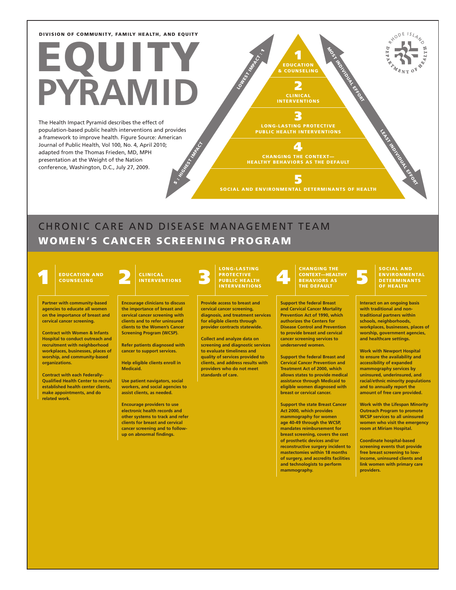# EQU **PYRAMID**

HIGHEST INDIA The Health Impact Pyramid describes the effect of population-based public health interventions and provides a framework to improve health. Figure Source: American Journal of Public Health, Vol 100, No. 4, April 2010; adapted from the Thomas Frieden, MD, MPH presentation at the Weight of the Nation conference, Washington, D.C., July 27, 2009.

3 LONG-LASTING PROTECTIVE

1 EDUCATION & COUNSELING

2 CLINICAL INTERVENTIONS MOST INDIVIDUAL EFFORT

LOWEST INTERNATION

4 CHANGING THE CONTEXT— HEALTHY BEHAVIORS AS THE DEFAULT

5 SOCIAL AND ENVIRONMENTAL DETERMINANTS OF HEALTH

### CHRONIC CARE AND DISEASE MANAGEMENT TEAM WOMEN'S CANCER SCREENING PROGRAM

 $\ddot{\bm s}$ 

COUNSELING

**Partner with community-based agencies to educate all women on the importance of breast and cervical cancer screening.**

**Contract with Women & Infants Hospital to conduct outreach and recruitment with neighborhood workplaces, businesses, places of worship, and community-based organizations.**

**Contract with each Federally-Qualified Health Center to recruit established health center clients, make appointments, and do related work.**

#### CLINICAL INTERVENTIONS

**Encourage clinicians to discuss the importance of breast and cervical cancer screening with clients and to refer uninsured clients to the Women's Cancer Screening Program (WCSP).**

**Refer patients diagnosed with cancer to support services.**

**Help eligible clients enroll in Medicaid.**

**Use patient navigators, social workers, and social agencies to assist clients, as needed.**

**Encourage providers to use electronic health records and other systems to track and refer clients for breast and cervical cancer screening and to followup on abnormal findings.**

LONG-LASTING

**Provide access to breast and cervical cancer screening, diagnosis, and treatment services for eligible clients through provider contracts statewide.**

**Collect and analyze data on screening and diagnostic services to evaluate timeliness and quality of services provided to clients, and address results with providers who do not meet standards of care.**

#### EDUCATION AND CLINICAL BERNOLD BEHAVIORS AS CONSELING THE CONSELING ON BEHAVIORS AS CONSELING THE DEFAULT DUBLIC METALTHY CONTEXT—HEALTHY BEHAVIORS AS THE DEFAULT

**Support the federal Breast and Cervical Cancer Mortality Prevention Act of 1990, which authorizes the Centers for Disease Control and Prevention to provide breast and cervical cancer screening services to underserved women.**

**Support the federal Breast and Cervical Cancer Prevention and Treatment Act of 2000, which allows states to provide medical assistance through Medicaid to eligible women diagnosed with breast or cervical cancer.**

**Support the state Breast Cancer Act 2000, which provides mammography for women age 40-49 through the WCSP, mandates reimbursement for breast screening, covers the cost of prosthetic devices and/or reconstructive surgery incident to mastectomies within 18 months of surgery, and accredits facilities and technologists to perform mammography.**

### ENVIRONMENTAL<br>DETERMINANTS OF HEALTH

LEAST INDIVIDUAL EFFORT

RYODE ISLAND

**Interact on an ongoing basis with traditional and nontraditional partners within schools, neighborhoods, workplaces, businesses, places of worship, government agencies, and healthcare settings.**

**Work with Newport Hospital to ensure the availability and accessibility of expanded mammography services by uninsured, underinsured, and racial/ethnic minority populations and to annually report the amount of free care provided.**

**Work with the Lifespan Minority Outreach Program to promote WCSP services to all uninsured women who visit the emergency room at Miriam Hospital.**

**Coordinate hospital-based screening events that provide free breast screening to lowincome, uninsured clients and link women with primary care providers.**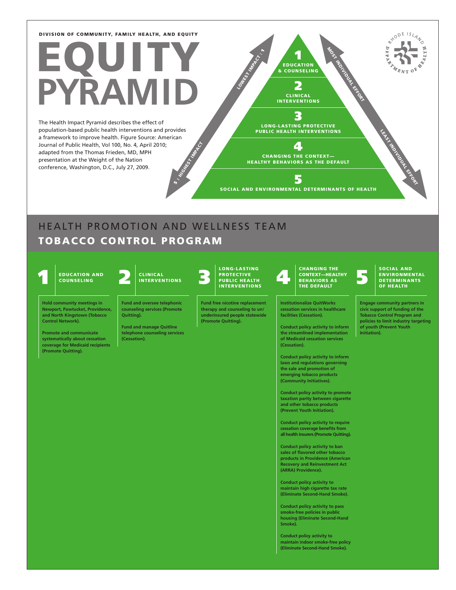# EQUITY **RAM**

HIGHEST INDIA The Health Impact Pyramid describes the effect of population-based public health interventions and provides a framework to improve health. Figure Source: American Journal of Public Health, Vol 100, No. 4, April 2010; adapted from the Thomas Frieden, MD, MPH presentation at the Weight of the Nation conference, Washington, D.C., July 27, 2009.

3 LONG-LASTING PROTECTIVE PUBLIC HEALTH INTERVENTIONS

1 EDUCATION & COUNSELING

LOWEST INFARCT.

2 CLINICAL INTERVENTIONS

4 CHANGING THE CONTEXT— HEALTHY BEHAVIORS AS THE DEFAULT

5 SOCIAL AND ENVIRONMENTAL DETERMINANTS OF HEALTH

### HEALTH PROMOTION AND WELLNESS TEAM THEALTH PROMOTION AND WELLNESS TEAM TOBACCO CONTROL PROGRAM

 $\ddot{\bm s}$ 

**Control Network).**

**(Promote Quitting).**



**Hold community meetings in Newport, Pawtucket, Providence, and North Kingstown (Tobacco** 

**Promote and communicate systematically about cessation coverage for Medicaid recipients** 



**Fund and oversee telephonic counseling services (Promote Quitting).**

**Fund and manage Quitline telephone counseling services (Cessation).**

LONG-LASTING

**Fund free nicotine replacement therapy and counseling to un/ underinsured people statewide (Promote Quitting).**

#### EDUCATION AND CLINICAL BERAVIORS ASSESSED FOR THE DEFAVIORS ASSESSED. THE DEFAULTH CONTEXT HEALTH CONTEXT HE DEFAULTH CHANGING THE CONTEXT—HEALTHY BEHAVIORS AS THE DEFAULT

**Institutionalize QuitWorks cessation services in healthcare facilities (Cessation).**

**Conduct policy activity to inform the streamlined implementation of Medicaid cessation services (Cessation).**

**Conduct policy activity to inform laws and regulations governing the sale and promotion of emerging tobacco products (Community Initiatives).**

**Conduct policy activity to promote taxation parity between cigarette and other tobacco products (Prevent Youth Initiation).**

**Conduct policy activity to require cessation coverage benefits from all health insurers (Promote Quitting).**

**Conduct policy activity to ban sales of flavored other tobacco products in Providence (American Recovery and Reinvestment Act (ARRA) Providence).**

**Conduct policy activity to maintain high cigarette tax rate (Eliminate Second-Hand Smoke).**

**Conduct policy activity to pass smoke-free policies in public housing (Eliminate Second-Hand Smoke).**

**Conduct policy activity to maintain indoor smoke-free policy (Eliminate Second-Hand Smoke).**

#### SOCIAL AND ENVIRONMENTAL<br>DETERMINANTS OF HEALTH

LEAST INDIVIDUAL EFFORT

**Engage community partners in civic support of funding of the Tobacco Control Program and policies to limit industry targeting of youth (Prevent Youth Initiation).**

 $\sigma$  $\gamma_{\ell_{N{\rm T}}}$ 

R<sup>XODE ISLAND</sup>

тø

MOST INDIVIDUAL EFFORT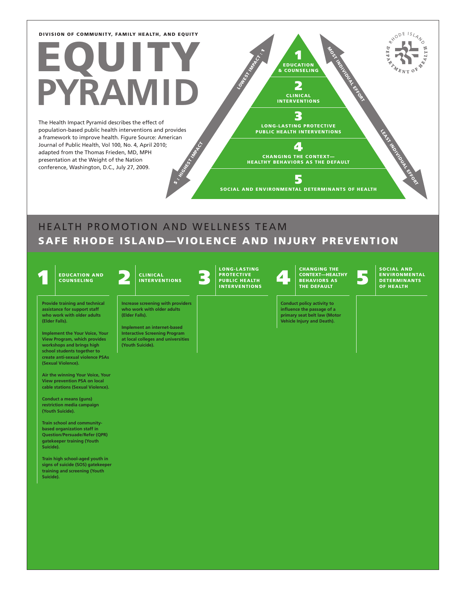# EQUITY **RAM**

**HIGHEST INDIAN** The Health Impact Pyramid describes the effect of population-based public health interventions and provides a framework to improve health. Figure Source: American Journal of Public Health, Vol 100, No. 4, April 2010; adapted from the Thomas Frieden, MD, MPH presentation at the Weight of the Nation conference, Washington, D.C., July 27, 2009.

3 LONG-LASTING PROTECTIVE PUBLIC HEALTH INTERVENTIONS

4 CHANGING THE CONTEXT— HEALTHY BEHAVIORS AS THE DEFAULT

5 SOCIAL AND ENVIRONMENTAL DETERMINANTS OF HEALTH

1 EDUCATION & COUNSELING

LOWEST INFOST

2 CLINICAL INTERVENTIONS MOST INDIVIDUAL EFFORT

HEALTH PROMOTION AND WELLNESS TEAM THEALTH PROMOTION AND WELLNESS TEAM SAFE RHODE ISLAND—VIOLENCE AND INJURY PREVENTION

COUNSELING

**Provide training and technical assistance for support staff who work with older adults (Elder Falls).**

**Implement the Your Voice, Your View Program, which provides workshops and brings high school students together to create anti-sexual violence PSAs (Sexual Violence).**

**Air the winning Your Voice, Your View prevention PSA on local cable stations (Sexual Violence).**

**Conduct a means (guns) restriction media campaign (Youth Suicide).**

**Train school and communitybased organization staff in Question/Persuade/Refer (QPR) gatekeeper training (Youth Suicide).**

**Train high school-aged youth in signs of suicide (SOS) gatekeeper training and screening (Youth Suicide).**

#### CLINICAL **INTERVENTIONS**

**Increase screening with providers who work with older adults (Elder Falls).**

 $\ddot{ }$ 

**Implement an internet-based Interactive Screening Program at local colleges and universities (Youth Suicide).**

EDUCATION AND CLINICAL PROTECTIVE CONTEXTLANGING IHE CONTEXTLANGING INCONTEXTLANGING INCONTEXTLANGING INCONTEXTLANGING INCONTEXTLANGING INCONTEXTLANGING INCONTEXTLANGING INCONTEXTLANGING INCONTEXTLANGING INCONTEXTLANGING I LONG-LASTING PROTECTIVE<br>PUBLIC HEALTH INTERVENTIONS

CHANGING THE CONTEXT—HEALTHY BEHAVIORS AS THE DEFAULT

**Conduct policy activity to influence the passage of a primary seat belt law (Motor Vehicle Injury and Death).**

SOCIAL AND<br>ENVIRONMENTAL<br>DETERMINANTS OF HEALTH

LEAST INDIVIDUAL EFFORT

RYODE ISLAND

 $\gamma_{\ell_{N{\rm T}}}$ 

 $\circ$ 

TE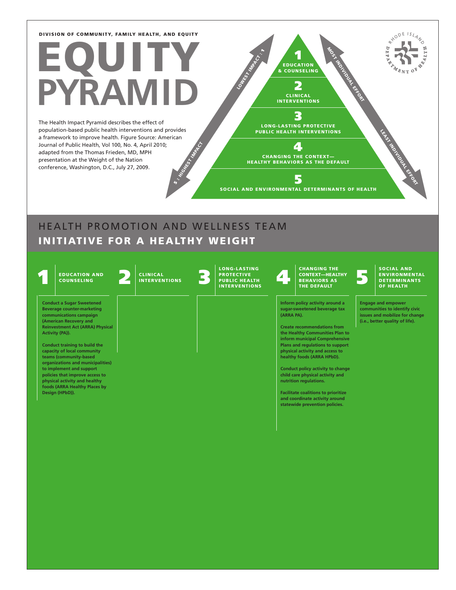# EQUITY **RAM**

HIGHEST INDIA The Health Impact Pyramid describes the effect of population-based public health interventions and provides a framework to improve health. Figure Source: American Journal of Public Health, Vol 100, No. 4, April 2010; adapted from the Thomas Frieden, MD, MPH presentation at the Weight of the Nation conference, Washington, D.C., July 27, 2009.

3 LONG-LASTING PROTECTIVE PUBLIC HEALTH INTERVENTIONS

4

1 EDUCATION & COUNSELING

LOWEST INFARCT.

2 CLINICAL **INTERVENTIONS**  MOST INDIVIDUAL EFFORT

LEAST INDIVIDUAL EFFORT

RHODE ISLAND

 $\gamma_{\ell_{N{\rm T}}}$ 

 $\sigma$ 

E

CHANGING THE CONTEXT— HEALTHY BEHAVIORS AS THE DEFAULT 5

SOCIAL AND ENVIRONMENTAL DETERMINANTS OF HEALTH

### HEALTH PROMOTION AND WELLNESS TEAM THEALTH PROMOTION AND WELLNESS TEAM INITIATIVE FOR A HEALTHY WEIGHT

 $\ddot{\bm s}$ 

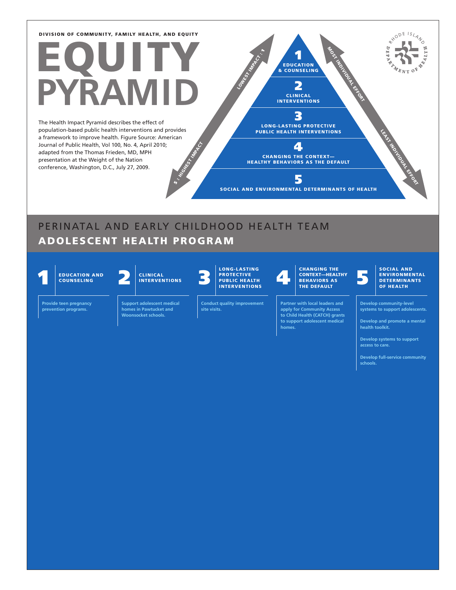# EQUITY **RAM**

**HIGHEST INDIAN** The Health Impact Pyramid describes the effect of population-based public health interventions and provides a framework to improve health. Figure Source: American Journal of Public Health, Vol 100, No. 4, April 2010; adapted from the Thomas Frieden, MD, MPH presentation at the Weight of the Nation conference, Washington, D.C., July 27, 2009.

1 EDUCATION & COUNSELING 2 CLINICAL INTERVENTIONS 3 LONG-LASTING PROTECTIVE PUBLIC HEALTH INTERVENTIONS 4 CHANGING THE CONTEXT— HEALTHY BEHAVIORS AS THE DEFAULT LOWEST INFOST MOST INDIVIDUAL EFFORT LEAST INDIVIDUAL EFFORT

5 SOCIAL AND ENVIRONMENTAL DETERMINANTS OF HEALTH

PERINATAL AND EARLY CHILDHOOD HEALTH TEAM

 $\ddot{ }$ 

### ADOLESCENT HEALTH PROGRAM

COUNSELING

**Provide teen pregnancy prevention programs.**

**homes in Pawtucket and Woonsocket schools.**



LONG-LASTING PROTECTIVE<br>PUBLIC HEALTH INTERVENTIONS

**Conduct quality improvement site visits.**

#### 1 2 3 4 5 EDUCATION AND CONTEXT—HEALTHY BEHAVIORS AS CHANGING THE THE DEFAULT

**Partner with local leaders and apply for Community Access to Child Health (CATCH) grants to support adolescent medical homes.**

#### SOCIAL AND ENVIRONMENTAL DETERMINANTS OF HEALTH

RYODE ISLAND

 $\sigma$ 

 $\frac{1}{2}$ 

**Develop community-level systems to support adolescents.**

**Develop and promote a mental health toolkit.**

**Develop systems to support access to care.**

**Develop full-service community schools.**



**Support adolescent medical**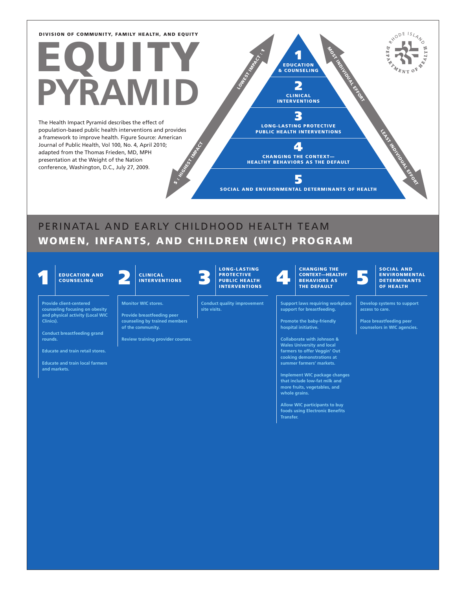# EQUITY **RAM**

**HIGHEST INDIAN** The Health Impact Pyramid describes the effect of population-based public health interventions and provides a framework to improve health. Figure Source: American Journal of Public Health, Vol 100, No. 4, April 2010; adapted from the Thomas Frieden, MD, MPH presentation at the Weight of the Nation conference, Washington, D.C., July 27, 2009.

CLINICAL INTERVENTIONS 3 LONG-LASTING PROTECTIVE PUBLIC HEALTH INTERVENTIONS 4 LOWEST INFARCT : MOST INDIVIDUAL EFFORT

1 EDUCATION & COUNSELING

2

CHANGING THE CONTEXT— HEALTHY BEHAVIORS AS THE DEFAULT

5

SOCIAL AND ENVIRONMENTAL DETERMINANTS OF HEALTH

### PERINATAL AND EARLY CHILDHOOD HEALTH TEAM WOMEN, INFANTS, AND CHILDREN (WIC) PROGRAM

 $\ddot{ }$ 

**Clinics).**

**rounds.**

**and markets.**



**Provide client-centered counseling focusing on obesity and physical activity (Local WIC** 

**Conduct breastfeeding grand** 

**Educate and train retail stores. Educate and train local farmers** 

**COUNSELING** 



**Provide breastfeeding peer** 

**Monitor WIC stores.**

**counseling by trained members of the community.**

**Review training provider courses.**



**Conduct quality improvement** 

**site visits.**

EDUCATION AND CLINICAL PROTECTIVE CONTEXTLANGING THE CONTEXTLANGING THE CONTEXTLANGING THE CONTEXTLANGING THE CONTEXTLANGING THE CONTEXTLANGING THE CONTEXTLANGING THE CONTEXTLANGING THE CONTEXTLANGING THE CONTEXTLANGING TH CHANGING THE CONTEXT—HEALTHY BEHAVIORS AS THE DEFAULT

> **Support laws requiring workplace support for breastfeeding.**

**Promote the baby-friendly hospital initiative.**

**Collaborate with Johnson & Wales University and local farmers to offer Veggin' Out cooking demonstrations at summer farmers' markets.**

**Implement WIC package changes that include low-fat milk and more fruits, vegetables, and whole grains.**

**Allow WIC participants to buy foods using Electronic Benefits Transfer.**

#### SOCIAL AND ENVIRONMENTAL DETERMINANTS OF HEALTH

LEAST INDIVIDUAL EFFORT

RYODE ISLAND

 $\sigma$ 

 $\overline{\mu}$ 

**Develop systems to support access to care.**

**Place breastfeeding peer counselors in WIC agencies.**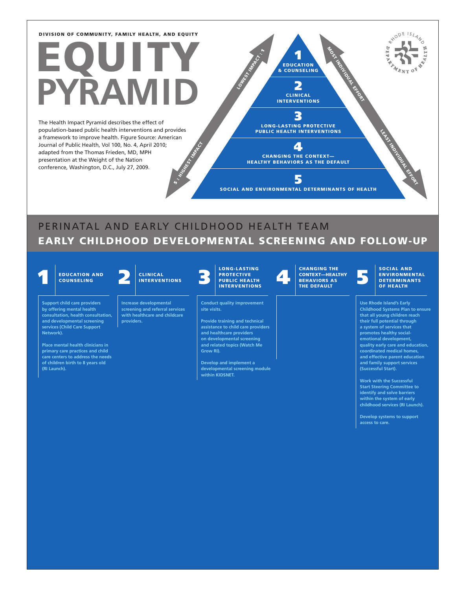# EQUITY **RAM**

**HIGHEST INDIAN** The Health Impact Pyramid describes the effect of population-based public health interventions and provides a framework to improve health. Figure Source: American Journal of Public Health, Vol 100, No. 4, April 2010; adapted from the Thomas Frieden, MD, MPH presentation at the Weight of the Nation conference, Washington, D.C., July 27, 2009.

3 LONG-LASTING PROTECTIVE PUBLIC HEALTH INTERVENTIONS

4

1 EDUCATION & COUNSELING

LOWEST INFARCT :

2 CLINICAL INTERVENTIONS MOST INDIVIDUAL EFFORT

CHANGING THE CONTEXT— HEALTHY BEHAVIORS AS THE DEFAULT 5

SOCIAL AND ENVIRONMENTAL DETERMINANTS OF HEALTH

### PERINATAL AND EARLY CHILDHOOD HEALTH TEAM EARLY CHILDHOOD DEVELOPMENTAL SCREENING AND FOLLOW-UP

**COUNSELING** 

**Support child care providers by offering mental health** 

**services (Child Care Support** 

**Place mental health clinicians in primary care practices and child care centers to address the needs of children birth to 8 years old** 

**Network).**

**(RI Launch).**



**consultation, health consultation, and developmental screening Increase developmental providers.**

INTERVENTIONS

 $\ddot{\bm s}$  :

**screening and referral services with healthcare and childcare** 

#### PROTECTIVE<br>PUBLIC HEALTH INTERVENTIONS

**Conduct quality improvement site visits.**

LONG-LASTING

**Provide training and technical assistance to child care providers and healthcare providers on developmental screening and related topics (Watch Me Grow RI).**

**Develop and implement a developmental screening module within KIDSNET.**

EDUCATION AND CLINICAL PROTECTIVE CONTECTIVE CONTECTIVE CONTECTIVE CONTECTIVE CONTECTIVE CONTECTIVE CONTECTIVE CONTECTIVE PROTECTIVE PROTECTIVE PROTECTIVE PROTECTIVE PROTECTIVE PROTECTIVE PROTECTIVE PROTECTIVE PROTECTIVE P CHANGING THE CONTEXT—HEALTHY BEHAVIORS AS THE DEFAULT

#### SOCIAL AND ENVIRONMENTAL **DETERMINANTS** OF HEALTH

LEAST INDIVIDUAL EFFORT

RYODE ISLAND

 $\sigma$ 

rø

**Use Rhode Island's Early Childhood Systems Plan to ensure that all young children reach their full potential through a system of services that promotes healthy socialemotional development, quality early care and education, coordinated medical homes, and effective parent education and family support services (Successful Start).**

**Work with the Successful Start Steering Committee to identify and solve barriers within the system of early childhood services (RI Launch).**

**Develop systems to support access to care.**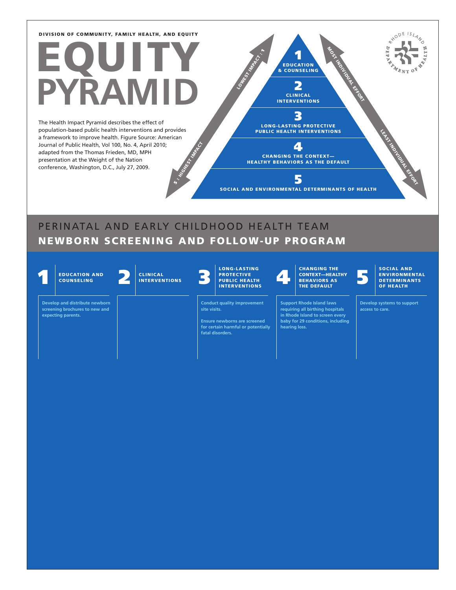# EQUITY **RAM**

**HIGHEST INDIAN** The Health Impact Pyramid describes the effect of population-based public health interventions and provides a framework to improve health. Figure Source: American Journal of Public Health, Vol 100, No. 4, April 2010; adapted from the Thomas Frieden, MD, MPH presentation at the Weight of the Nation conference, Washington, D.C., July 27, 2009.

3 LONG-LASTING PROTECTIVE PUBLIC HEALTH INTERVENTIONS

1 EDUCATION & COUNSELING

LOWEST INFARCT :

2 CLINICAL INTERVENTIONS MOST INDIVIDUAL EFFORT

LEAST INDIVIDUAL EFFORT

RYODE ISLAND

ĽÄ

4 CHANGING THE CONTEXT— HEALTHY BEHAVIORS AS THE DEFAULT

5 SOCIAL AND ENVIRONMENTAL DETERMINANTS OF HEALTH

### PERINATAL AND EARLY CHILDHOOD HEALTH TEAM NEWBORN SCREENING AND FOLLOW-UP PROGRAM

 $\ddot{\bm s}$  :

1 2 3 4 5 EDUCATION AND PROTECTIVE PUBLIC HEALTH INTERVENTIONS COUNSELING CLINICAL<br>INTERVENTIONS LONG-LASTING CHANGING THE CONTEXT—HEALTHY BEHAVIORS AS THE DEFAULT SOCIAL AND ENVIRONMENTAL DETERMINANTS OF HEALTH **Develop and distribute newborn screening brochures to new and expecting parents. Conduct quality improvement site visits. Ensure newborns are screened for certain harmful or potentially fatal disorders. Support Rhode Island laws requiring all birthing hospitals in Rhode Island to screen every baby for 29 conditions, including hearing loss. Develop systems to support access to care.**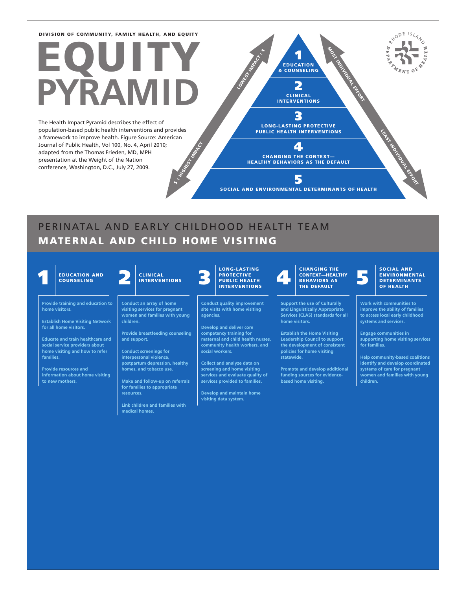# EQUITY **PYRAMID**

**HIGHEST INDIAN** The Health Impact Pyramid describes the effect of population-based public health interventions and provides a framework to improve health. Figure Source: American Journal of Public Health, Vol 100, No. 4, April 2010; adapted from the Thomas Frieden, MD, MPH presentation at the Weight of the Nation conference, Washington, D.C., July 27, 2009.

3 LONG-LASTING PROTECTIVE PUBLIC HEALTH INTERVENTIONS

1 EDUCATION & COUNSELING

LOWEST INVASION

2 CLINICAL INTERVENTIONS MOST INDIVIDUAL EFFORT

4 CHANGING THE CONTEXT— HEALTHY BEHAVIORS AS THE DEFAULT

5 SOCIAL AND ENVIRONMENTAL DETERMINANTS OF HEALTH

### PERINATAL AND EARLY CHILDHOOD HEALTH TEAM MATERNAL AND CHILD HOME VISITING

 $\ddot{\bm s}$ 

**COUNSELING** 

**home visitors.**

**Provide training and education to** 

**Establish Home Visiting Network for all home visitors.**

**Educate and train healthcare and social service providers about home visiting and how to refer families.**

**Provide resources and information about home visiting to new mothers.**

CLINICAL INTERVENTIONS

**Conduct an array of home visiting services for pregnant women and families with young children.**

**Provide breastfeeding counseling and support.**

**Conduct screenings for interpersonal violence, postpartum depression, healthy homes, and tobacco use.**

**Make and follow-up on referrals for families to appropriate resources.**

**Link children and families with medical homes.**

### PROTECTIVE<br>PUBLIC HEALTH INTERVENTIONS

LONG-LASTING

**Conduct quality improvement site visits with home visiting agencies.**

**Develop and deliver core competency training for maternal and child health nurses, community health workers, and social workers.**

**Collect and analyze data on screening and home visiting services and evaluate quality of services provided to families.**

**Develop and maintain home visiting data system.**

#### EDUCATION AND CLINICAL PROTECTIVE CONTECTIVE CONTECTIVE CONTECTIVE CONTECTIVE CONTECTIVE CONTECTIVE CONTECTIVE CONTECTIVE PROTECTIVE PROTECTIVE PROTECTIVE PROTECTIVE PROTECTIVE PROTECTIVE PROTECTIVE PROTECTIVE PROTECTIVE P CHANGING THE CONTEXT—HEALTHY BEHAVIORS AS THE DEFAULT

**Support the use of Culturally and Linguistically Appropriate Services (CLAS) standards for all home visitors.**

**Establish the Home Visiting Leadership Council to support the development of consistent policies for home visiting statewide.**

**Promote and develop additional funding sources for evidencebased home visiting.**

#### SOCIAL AND ENVIRONMENTAL DETERMINANTS OF HEALTH

LEAST INDIVIDUAL EFFORT

RYODE ISLAND

 $\sigma$ 

**Work with communities to improve the ability of families to access local early childhood systems and services.**

**Engage communities in supporting home visiting services for families.**

**Help community-based coalitions identify and develop coordinated systems of care for pregnant women and families with young children.**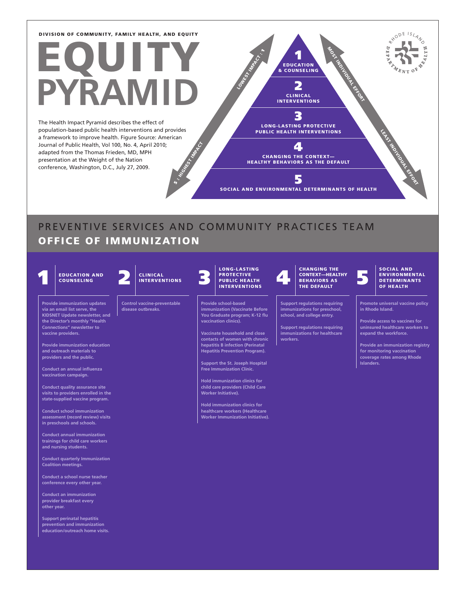# EQUITY **RAM**

HIGHEST INDIA The Health Impact Pyramid describes the effect of population-based public health interventions and provides a framework to improve health. Figure Source: American Journal of Public Health, Vol 100, No. 4, April 2010; adapted from the Thomas Frieden, MD, MPH presentation at the Weight of the Nation conference, Washington, D.C., July 27, 2009.

3 LONG-LASTING PROTECTIVE PUBLIC HEALTH INTERVENTIONS

1 EDUCATION & COUNSELING 2 CLINICAL INTERVENTIONS MOST INDIVIDUAL EFFORT

LEAST INDIVIDUAL EFFORT

RYODE ISLAND

 $\sigma$ 

LOWEST INFARCT :

CHANGING THE CONTEXT— HEALTHY BEHAVIORS AS THE DEFAULT

5

4

SOCIAL AND ENVIRONMENTAL DETERMINANTS OF HEALTH

## PREVENTIVE SERVICES AND COMMUNITY PRACTICES TEAM OFFICE OF IMMUNIZATION

 $\ddot{\bm s}$ 

EDUCATION AND CLINICAL PROTECTIVE CONTEXTLANGING IHE CONTEXTLANGING INCONTEXTLANGING INCONTEXTLANGING INCONTEXTLANGING INCONTEXTLANGING INCONTEXTLANGING INCONTEXTLANGING INCONTEXTLANGING INCONTEXTLANGING INCONTEXTLANGING I **COUNSELING** CLINICAL INTERVENTIONS LONG-LASTING PROTECTIVE<br>PUBLIC HEALTH INTERVENTIONS CHANGING THE CONTEXT—HEALTHY **BEHAVIORS AS** THE DEFAULT SOCIAL AND ENVIRONMENTAL DETERMINANTS OF HEALTH **Provide immunization updates via an email list serve, the KIDSNET Update newsletter, and the Director's monthly "Health Connections" newsletter to vaccine providers. Provide immunization education and outreach materials to providers and the public. Conduct an annual influenza vaccination campaign. Conduct quality assurance site visits to providers enrolled in the state-supplied vaccine program. Conduct school immunization assessment (record review) visits in preschools and schools. Conduct annual immunization trainings for child care workers and nursing students. Control vaccine-preventable disease outbreaks. Provide school-based immunization (Vaccinate Before You Graduate program; K-12 flu vaccination clinics). Vaccinate household and close contacts of women with chronic hepatitis B infection (Perinatal Hepatitis Prevention Program). Support the St. Joseph Hospital Free Immunization Clinic. Hold immunization clinics for child care providers (Child Care Worker Initiative). Hold immunization clinics for healthcare workers (Healthcare Worker Immunization Initiative). Support regulations requiring immunizations for preschool, school, and college entry. Support regulations requiring immunizations for healthcare workers. Promote universal vaccine policy in Rhode Island. Provide access to vaccines for uninsured healthcare workers to expand the workforce. Provide an immunization registry for monitoring vaccination coverage rates among Rhode Islanders.**

**Conduct quarterly Immunization Coalition meetings.**

**Conduct a school nurse teacher conference every other year.**

**Conduct an immunization provider breakfast every other year.**

**Support perinatal hepatitis prevention and immunization education/outreach home visits.**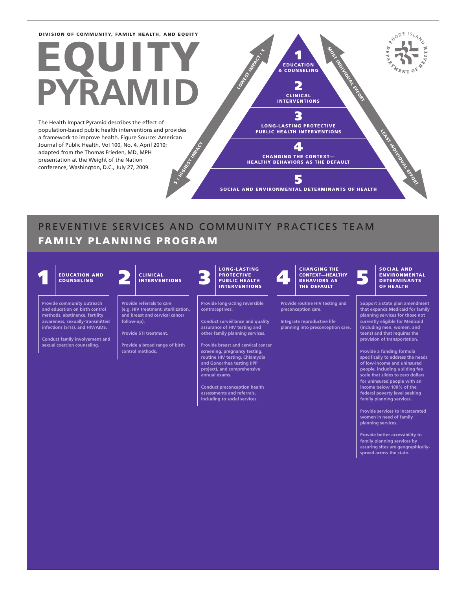# EQUITY **RAM**

**HIGHEST INDIAN** The Health Impact Pyramid describes the effect of population-based public health interventions and provides a framework to improve health. Figure Source: American Journal of Public Health, Vol 100, No. 4, April 2010; adapted from the Thomas Frieden, MD, MPH presentation at the Weight of the Nation conference, Washington, D.C., July 27, 2009.

3 LONG-LASTING PROTECTIVE PUBLIC HEALTH INTERVENTIONS

**1** & COUNSELING 2 CLINICAL INTERVENTIONS MOST INDIVIDUAL EFFORT

LOWEST INFARCT :

CHANGING THE CONTEXT— HEALTHY BEHAVIORS AS THE DEFAULT 5

4

SOCIAL AND ENVIRONMENTAL DETERMINANTS OF HEALTH

### PREVENTIVE SERVICES AND COMMUNITY PRACTICES TEAM FAMILY PLANNING PROGRAM

 $\ddot{ }$ 



**Conduct preconception health assessments and referrals, including to social services.**

**people, including a sliding fee scale that slides to zero dollars for uninsured people with an income below 100% of the federal poverty level seeking family planning services.**

LEAST INDIVIDUAL EFFORT

RYODE ISLAND

 $\sigma$ 

**Provide services to incarcerated women in need of family planning services.**

**Provide better accessibility to family planning services by assuring sites are geographicallyspread across the state.**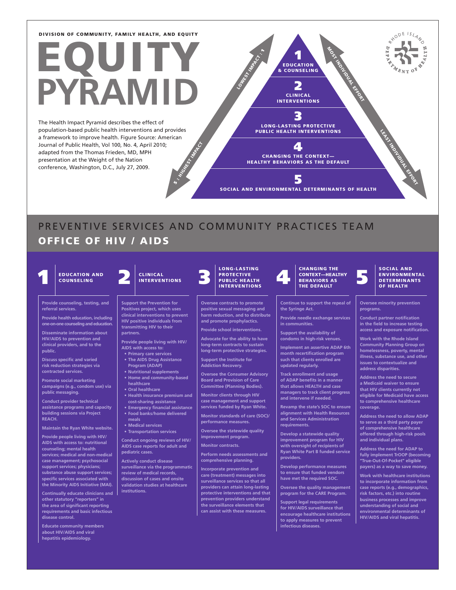# EQUI **PYRAMID**

**HIGHEST INDIAN** The Health Impact Pyramid describes the effect of population-based public health interventions and provides a framework to improve health. Figure Source: American Journal of Public Health, Vol 100, No. 4, April 2010; adapted from the Thomas Frieden, MD, MPH presentation at the Weight of the Nation conference, Washington, D.C., July 27, 2009.

3 LONG-LASTING PROTECTIVE PUBLIC HEALTH INTERVENTIONS

1 EDUCATION & COUNSELING

LOWEST INFARCT :

2 CLINICAL INTERVENTIONS MOST INDIVIDUAL EFFORT

4 CHANGING THE CONTEXT— HEALTHY BEHAVIORS AS THE DEFAULT

5

SOCIAL AND ENVIRONMENTAL DETERMINANTS OF HEALTH

## PREVENTIVE SERVICES AND COMMUNITY PRACTICES TEAM OFFICE OF HIV / AIDS

 $\ddot{\bm s}$  :

## COUNSELING

**Provide counseling, testing, and referral services.**

**Provide health education, including one-on-one counseling and education.**

**Disseminate information about HIV/AIDS to prevention and clinical providers, and to the public.**

**Discuss specific and varied risk reduction strategies via contracted services.**

**Promote social marketing campaigns (e.g., condom use) via public messaging.**

**Conduct provider technical assistance programs and capacity building sessions via Project REACH.**

**Maintain the Ryan White website.**

**Provide people living with HIV/ AIDS with access to: nutritional counseling; mental health services; medical and non-medical case management; psychosocial support services; physicians; substance abuse support services; specific services associated with the Minority AIDS Initiative (MAI).**

**Continually educate clinicians and other statutory "reporters" in the area of significant reporting requirements and basic infectious disease control.**

**Educate community members about HIV/AIDS and viral hepatitis epidemiology.**

#### **Support the Prevention for Positives project, which uses clinical interventions to prevent HIV positive individuals from**

CLINICAL INTERVENTIONS

**transmitting HIV to their partners. Provide people living with HIV/**

- **AIDS with access to: • Primary care services • The AIDS Drug Assistance**
	- **Program (ADAP) • Nutritional supplements**
	- **• Home and community-based healthcare**
	- **• Oral healthcare • Health insurance premium and**
	- **cost-sharing assistance • Emergency financial assistance**
	- **• Food banks/home delivered meals**
	- **• Medical services • Transportation services**

**Conduct ongoing reviews of HIV/ AIDS case reports for adult and pediatric cases.**

**Actively conduct disease surveillance via the programmatic review of medical records, discussion of cases and onsite validation studies at healthcare institutions.** 



LONG-LASTING

**Oversee contracts to promote positive sexual messaging and harm reduction, and to distribute and promote prophylactics. Provide school interventions.**

**Advocate for the ability to have long-term contracts to sustain long-term protective strategies. Support the Institute for Addiction Recovery.** 

**Oversee the Consumer Advisory Board and Provision of Care Committee (Planning Bodies).**

**Monitor clients through HIV case management and support services funded by Ryan White. Monitor standards of care (SOC)/ performance measures.**

**Oversee the statewide quality improvement program.**

**Monitor contracts.**

**Perform needs assessments and comprehensive planning.**

**Incorporate prevention and care (treatment) messages into surveillance services so that all providers can attain long-lasting protective interventions and that prevention providers understand the surveillance elements that can assist with these measures.**

#### EDUCATION AND CLINICAL PROTECTIVE CONTEXTLANGING INC. AND CONTEXTLANGING INC. AND CONTEXTLANGING INC. THE DEFAULT ON THE DEFAULT OF THE DEFAULT CHANGING THE CONTEXT—HEALTHY **BEHAVIORS AS** THE DEFAULT

**Continue to support the repeal of the Syringe Act.**

**Provide needle exchange services in communities.**

**Support the availability of** 

**condoms in high-risk venues. Implement an assertive ADAP 6th month recertification program such that clients enrolled are updated regularly.**

**Track enrollment and usage of ADAP benefits in a manner that allows HEALTH and case managers to track client progress and intervene if needed.**

**Revamp the state's SOC to ensure alignment with Health Resources and Services Administration requirements.**

**Develop a statewide quality improvement program for HIV with oversight of recipients of Ryan White Part B funded service providers.**

**Develop performance measures to ensure that funded vendors have met the required SOC.**

**Oversee the quality management program for the CARE Program.**

**Support legal requirements for HIV/AIDS surveillance that encourage healthcare institutions to apply measures to prevent infectious diseases.**

#### SOCIAL AND ENVIRONMENTAL DETERMINANTS OF HEALTH

LEAST INDIVIDUAL EFFORT

RYODE ISLAND

 $\mathcal{U}_{E_{NT}}$  or

 $\Gamma$ 

أثاثه

**Oversee minority prevention programs.**

**Conduct partner notification in the field to increase testing access and exposure notification.**

**Work with the Rhode Island Community Planning Group on homelessness, poverty, mental illness, substance use, and other issues to contextualize and address disparities.**

**Address the need to secure a Medicaid waiver to ensure that HIV clients currently not eligible for Medicaid have access to comprehensive healthcare coverage.**

**Address the need to allow ADAP to serve as a third party payer of comprehensive healthcare offered through high-risk pools and individual plans.**

**Address the need for ADAP to fully implement TrOOP (becoming "True-Out-Of-Pocket" eligible payers) as a way to save money.**

**Work with healthcare institutions to incorporate information from case reports (e.g., demographics, risk factors, etc.) into routine business processes and improve understanding of social and environmental determinants of HIV/AIDS and viral hepatitis.**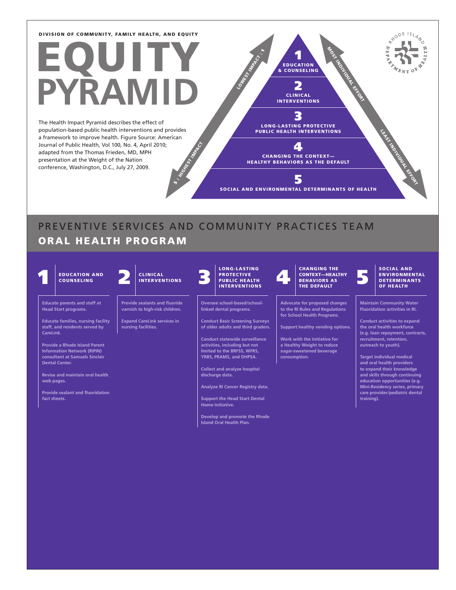# EQUITY **PYRAMID**

**HIGHEST INDIAN** The Health Impact Pyramid describes the effect of population-based public health interventions and provides a framework to improve health. Figure Source: American Journal of Public Health, Vol 100, No. 4, April 2010; adapted from the Thomas Frieden, MD, MPH presentation at the Weight of the Nation conference, Washington, D.C., July 27, 2009.

3 LONG-LASTING PROTECTIVE PUBLIC HEALTH INTERVENTIONS

1 EDUCATION & COUNSELING 2 CLINICAL INTERVENTIONS MOST INDIVIDUAL EFFORT

LOWEST INFARCT :

4 CHANGING THE CONTEXT— HEALTHY BEHAVIORS AS THE DEFAULT

5

SOCIAL AND ENVIRONMENTAL DETERMINANTS OF HEALTH

## PREVENTIVE SERVICES AND COMMUNITY PRACTICES TEAM ORAL HEALTH PROGRAM

 $\ddot{\bm s}$  :



**Provide sealant and fluoridation fact sheets.**

**Analyze RI Cancer Registry data.**

**Support the Head Start Dental Home Initiative.**

**Develop and promote the Rhode Island Oral Health Plan.**

**(e.g. loan repayment, contracts,** 

LEAST INDIVIDUAL EFFORT

RYODE ISLAND

 $\sigma$ 

ĽÄ

**education opportunities (e.g. Mini-Residency series, primary care provider/pediatric dental training).**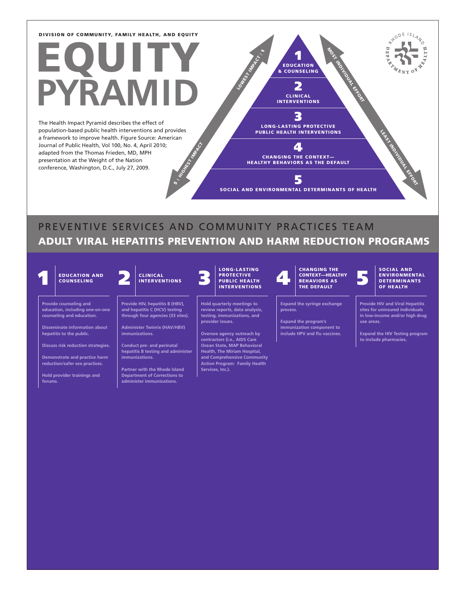# EQUITY **RAM**

**HIGHEST INDIAN** The Health Impact Pyramid describes the effect of population-based public health interventions and provides a framework to improve health. Figure Source: American Journal of Public Health, Vol 100, No. 4, April 2010; adapted from the Thomas Frieden, MD, MPH presentation at the Weight of the Nation conference, Washington, D.C., July 27, 2009.

INTERVENTIONS 3 LONG-LASTING PROTECTIVE PUBLIC HEALTH INTERVENTIONS

 $\blacktriangle$ CHANGING THE CONTEXT— HEALTHY BEHAVIORS AS THE DEFAULT

5

1 EDUCATION & COUNSELING

> 2 CLINICAL

MOST INDIVIDUAL EFFORT

SOCIAL AND ENVIRONMENTAL DETERMINANTS OF HEALTH

### PREVENTIVE SERVICES AND COMMUNITY PRACTICES TEAM ADULT VIRAL HEPATITIS PREVENTION AND HARM REDUCTION PROGRAMS

LOWEST INFORMATION

COUNSELING

**Provide counseling and education, including one-on-one counseling and education.**

**Disseminate information about hepatitis to the public.**

**Discuss risk reduction strategies.**

**Demonstrate and practice harm reduction/safer sex practices.**

**Hold provider trainings and** 

#### CLINICAL INTERVENTIONS

 $\ddot{\bm s}$  :

**Provide HIV, hepatitis B (HBV), and hepatitis C (HCV) testing through four agencies (33 sites).**

**Administer Twinrix (HAV/HBV) immunizations.**

**Conduct pre- and perinatal hepatitis B testing and administer immunizations.**

**Partner with the Rhode Island Department of Corrections to administer immunizations.**

#### LONG-LASTING **PROTECTIVE** PUBLIC HEALTH INTERVENTIONS

**Hold quarterly meetings to review reports, data analysis, testing, immunizations, and provider issues.**

**Oversee agency outreach by contractors (i.e., AIDS Care Ocean State, MAP Behavioral Health, The Miriam Hospital, and Comprehensive Community Action Program: Family Health** 

#### EDUCATION AND CLINICAL PROTECTIVE CONTEXTLANGING INC. AND CONTEXTLANGING INC. AND CONTEXTLANGING INC. THE DEFAULT ON THE DEFAULT OF THE DEFAULT CHANGING THE CONTEXT—HEALTHY BEHAVIORS AS THE DEFAULT

**Expand the syringe exchange process.** 

**Expand the program's immunization component to include HPV and flu vaccines.**

#### SOCIAL AND ENVIRONMENTAL **DETERMINANTS** OF HEALTH

LEAST INDIVIDUAL EFFORT

RYODE ISLAND

**Provide HIV and Viral Hepatitis sites for uninsured individuals in low-income and/or high drug use areas.**

**Expand the HIV Testing program to include pharmacies.**